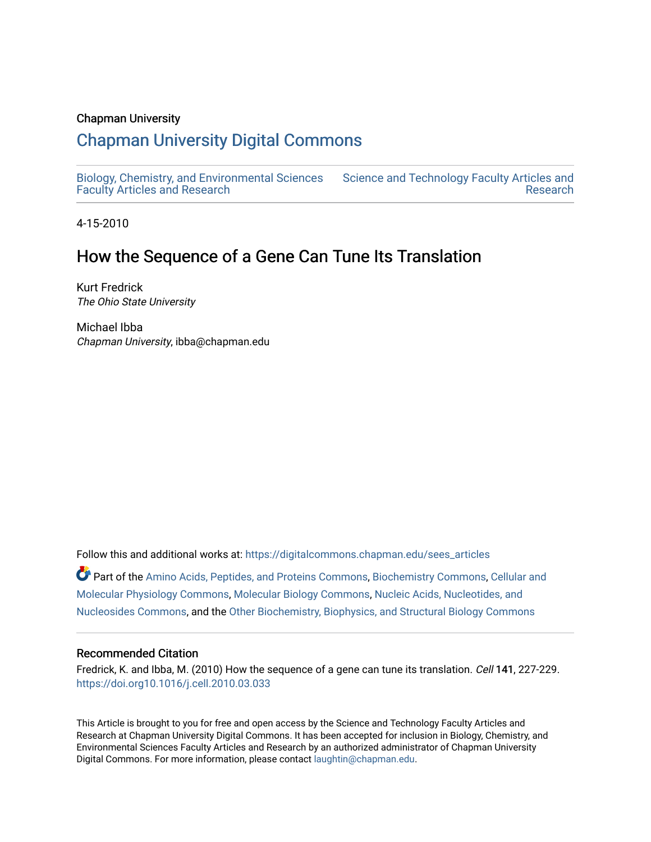## Chapman University

# [Chapman University Digital Commons](https://digitalcommons.chapman.edu/)

[Biology, Chemistry, and Environmental Sciences](https://digitalcommons.chapman.edu/sees_articles) [Faculty Articles and Research](https://digitalcommons.chapman.edu/sees_articles) [Science and Technology Faculty Articles and](https://digitalcommons.chapman.edu/science_articles)  [Research](https://digitalcommons.chapman.edu/science_articles) 

4-15-2010

# How the Sequence of a Gene Can Tune Its Translation

Kurt Fredrick The Ohio State University

Michael Ibba Chapman University, ibba@chapman.edu

Follow this and additional works at: [https://digitalcommons.chapman.edu/sees\\_articles](https://digitalcommons.chapman.edu/sees_articles?utm_source=digitalcommons.chapman.edu%2Fsees_articles%2F359&utm_medium=PDF&utm_campaign=PDFCoverPages) 

Part of the [Amino Acids, Peptides, and Proteins Commons](http://network.bepress.com/hgg/discipline/954?utm_source=digitalcommons.chapman.edu%2Fsees_articles%2F359&utm_medium=PDF&utm_campaign=PDFCoverPages), [Biochemistry Commons](http://network.bepress.com/hgg/discipline/2?utm_source=digitalcommons.chapman.edu%2Fsees_articles%2F359&utm_medium=PDF&utm_campaign=PDFCoverPages), [Cellular and](http://network.bepress.com/hgg/discipline/70?utm_source=digitalcommons.chapman.edu%2Fsees_articles%2F359&utm_medium=PDF&utm_campaign=PDFCoverPages) [Molecular Physiology Commons,](http://network.bepress.com/hgg/discipline/70?utm_source=digitalcommons.chapman.edu%2Fsees_articles%2F359&utm_medium=PDF&utm_campaign=PDFCoverPages) [Molecular Biology Commons](http://network.bepress.com/hgg/discipline/5?utm_source=digitalcommons.chapman.edu%2Fsees_articles%2F359&utm_medium=PDF&utm_campaign=PDFCoverPages), [Nucleic Acids, Nucleotides, and](http://network.bepress.com/hgg/discipline/935?utm_source=digitalcommons.chapman.edu%2Fsees_articles%2F359&utm_medium=PDF&utm_campaign=PDFCoverPages)  [Nucleosides Commons,](http://network.bepress.com/hgg/discipline/935?utm_source=digitalcommons.chapman.edu%2Fsees_articles%2F359&utm_medium=PDF&utm_campaign=PDFCoverPages) and the [Other Biochemistry, Biophysics, and Structural Biology Commons](http://network.bepress.com/hgg/discipline/7?utm_source=digitalcommons.chapman.edu%2Fsees_articles%2F359&utm_medium=PDF&utm_campaign=PDFCoverPages)

#### Recommended Citation

Fredrick, K. and Ibba, M. (2010) How the sequence of a gene can tune its translation. Cell 141, 227-229. [https://doi.org10.1016/j.cell.2010.03.033](https://doi.org/10.1016/j.cell.2010.03.033) 

This Article is brought to you for free and open access by the Science and Technology Faculty Articles and Research at Chapman University Digital Commons. It has been accepted for inclusion in Biology, Chemistry, and Environmental Sciences Faculty Articles and Research by an authorized administrator of Chapman University Digital Commons. For more information, please contact [laughtin@chapman.edu](mailto:laughtin@chapman.edu).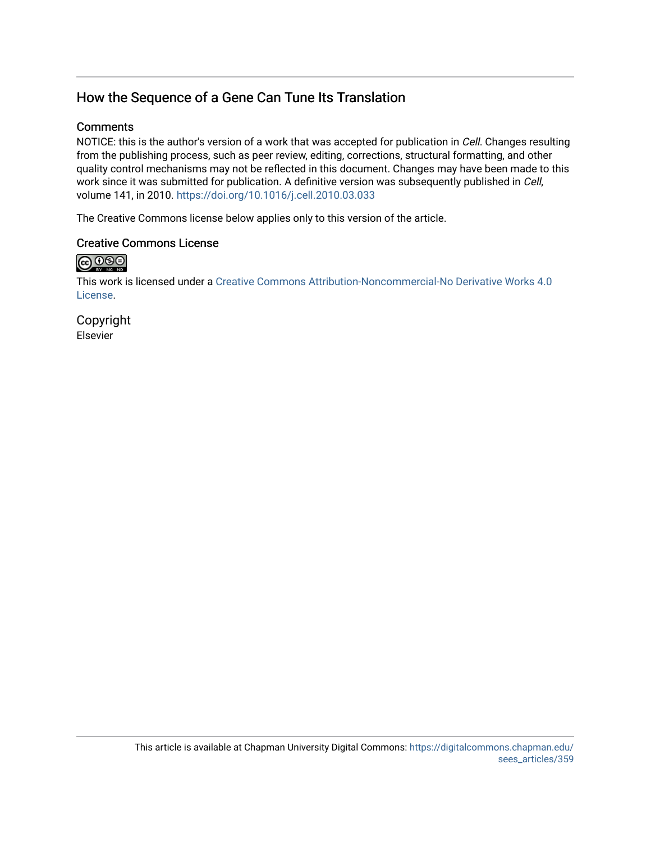# How the Sequence of a Gene Can Tune Its Translation

# **Comments**

NOTICE: this is the author's version of a work that was accepted for publication in *Cell*. Changes resulting from the publishing process, such as peer review, editing, corrections, structural formatting, and other quality control mechanisms may not be reflected in this document. Changes may have been made to this work since it was submitted for publication. A definitive version was subsequently published in Cell, volume 141, in 2010.<https://doi.org/10.1016/j.cell.2010.03.033>

The Creative Commons license below applies only to this version of the article.

# Creative Commons License



This work is licensed under a [Creative Commons Attribution-Noncommercial-No Derivative Works 4.0](https://creativecommons.org/licenses/by-nc-nd/4.0/) [License](https://creativecommons.org/licenses/by-nc-nd/4.0/).

Copyright Elsevier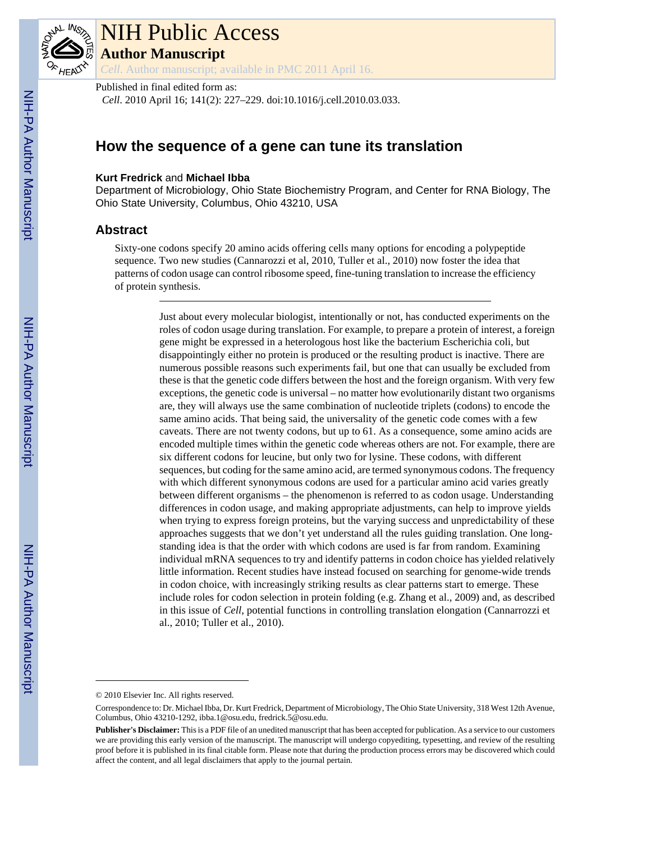

# NIH Public Access **Author Manuscript**

*Cell*. Author manuscript; available in PMC 2011 April 16.

Published in final edited form as:

*Cell*. 2010 April 16; 141(2): 227–229. doi:10.1016/j.cell.2010.03.033.

# **How the sequence of a gene can tune its translation**

#### **Kurt Fredrick** and **Michael Ibba**

Department of Microbiology, Ohio State Biochemistry Program, and Center for RNA Biology, The Ohio State University, Columbus, Ohio 43210, USA

# **Abstract**

Sixty-one codons specify 20 amino acids offering cells many options for encoding a polypeptide sequence. Two new studies (Cannarozzi et al, 2010, Tuller et al., 2010) now foster the idea that patterns of codon usage can control ribosome speed, fine-tuning translation to increase the efficiency of protein synthesis.

> Just about every molecular biologist, intentionally or not, has conducted experiments on the roles of codon usage during translation. For example, to prepare a protein of interest, a foreign gene might be expressed in a heterologous host like the bacterium Escherichia coli, but disappointingly either no protein is produced or the resulting product is inactive. There are numerous possible reasons such experiments fail, but one that can usually be excluded from these is that the genetic code differs between the host and the foreign organism. With very few exceptions, the genetic code is universal – no matter how evolutionarily distant two organisms are, they will always use the same combination of nucleotide triplets (codons) to encode the same amino acids. That being said, the universality of the genetic code comes with a few caveats. There are not twenty codons, but up to 61. As a consequence, some amino acids are encoded multiple times within the genetic code whereas others are not. For example, there are six different codons for leucine, but only two for lysine. These codons, with different sequences, but coding for the same amino acid, are termed synonymous codons. The frequency with which different synonymous codons are used for a particular amino acid varies greatly between different organisms – the phenomenon is referred to as codon usage. Understanding differences in codon usage, and making appropriate adjustments, can help to improve yields when trying to express foreign proteins, but the varying success and unpredictability of these approaches suggests that we don't yet understand all the rules guiding translation. One longstanding idea is that the order with which codons are used is far from random. Examining individual mRNA sequences to try and identify patterns in codon choice has yielded relatively little information. Recent studies have instead focused on searching for genome-wide trends in codon choice, with increasingly striking results as clear patterns start to emerge. These include roles for codon selection in protein folding (e.g. Zhang et al., 2009) and, as described in this issue of *Cell*, potential functions in controlling translation elongation (Cannarrozzi et al., 2010; Tuller et al., 2010).

<sup>© 2010</sup> Elsevier Inc. All rights reserved.

Correspondence to: Dr. Michael Ibba, Dr. Kurt Fredrick, Department of Microbiology, The Ohio State University, 318 West 12th Avenue, Columbus, Ohio 43210-1292, ibba.1@osu.edu, fredrick.5@osu.edu.

**Publisher's Disclaimer:** This is a PDF file of an unedited manuscript that has been accepted for publication. As a service to our customers we are providing this early version of the manuscript. The manuscript will undergo copyediting, typesetting, and review of the resulting proof before it is published in its final citable form. Please note that during the production process errors may be discovered which could affect the content, and all legal disclaimers that apply to the journal pertain.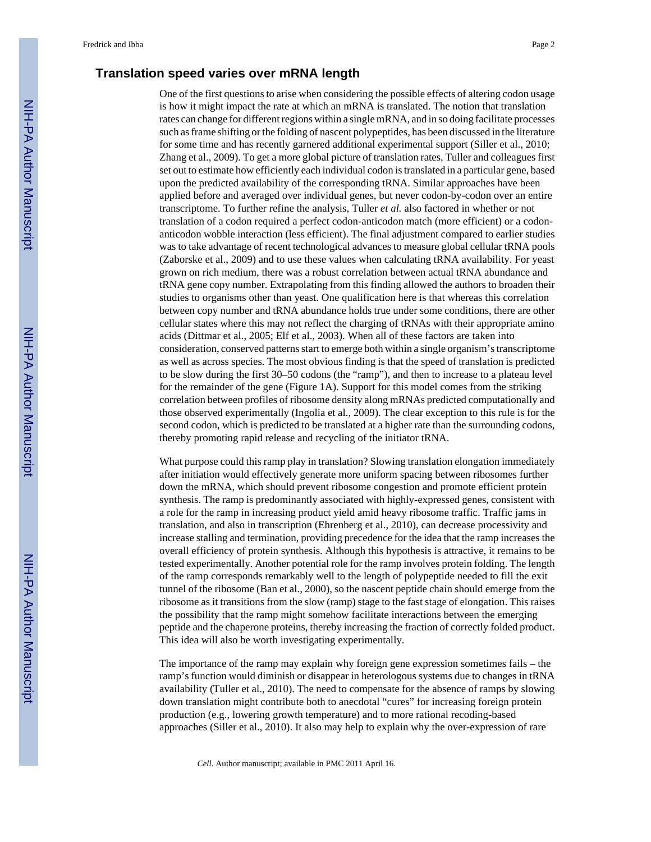### **Translation speed varies over mRNA length**

One of the first questions to arise when considering the possible effects of altering codon usage is how it might impact the rate at which an mRNA is translated. The notion that translation rates can change for different regions within a single mRNA, and in so doing facilitate processes such as frame shifting or the folding of nascent polypeptides, has been discussed in the literature for some time and has recently garnered additional experimental support (Siller et al., 2010; Zhang et al., 2009). To get a more global picture of translation rates, Tuller and colleagues first set out to estimate how efficiently each individual codon is translated in a particular gene, based upon the predicted availability of the corresponding tRNA. Similar approaches have been applied before and averaged over individual genes, but never codon-by-codon over an entire transcriptome. To further refine the analysis, Tuller *et al.* also factored in whether or not translation of a codon required a perfect codon-anticodon match (more efficient) or a codonanticodon wobble interaction (less efficient). The final adjustment compared to earlier studies was to take advantage of recent technological advances to measure global cellular tRNA pools (Zaborske et al., 2009) and to use these values when calculating tRNA availability. For yeast grown on rich medium, there was a robust correlation between actual tRNA abundance and tRNA gene copy number. Extrapolating from this finding allowed the authors to broaden their studies to organisms other than yeast. One qualification here is that whereas this correlation between copy number and tRNA abundance holds true under some conditions, there are other cellular states where this may not reflect the charging of tRNAs with their appropriate amino acids (Dittmar et al., 2005; Elf et al., 2003). When all of these factors are taken into consideration, conserved patterns start to emerge both within a single organism's transcriptome as well as across species. The most obvious finding is that the speed of translation is predicted to be slow during the first 30–50 codons (the "ramp"), and then to increase to a plateau level for the remainder of the gene (Figure 1A). Support for this model comes from the striking correlation between profiles of ribosome density along mRNAs predicted computationally and those observed experimentally (Ingolia et al., 2009). The clear exception to this rule is for the second codon, which is predicted to be translated at a higher rate than the surrounding codons, thereby promoting rapid release and recycling of the initiator tRNA.

What purpose could this ramp play in translation? Slowing translation elongation immediately after initiation would effectively generate more uniform spacing between ribosomes further down the mRNA, which should prevent ribosome congestion and promote efficient protein synthesis. The ramp is predominantly associated with highly-expressed genes, consistent with a role for the ramp in increasing product yield amid heavy ribosome traffic. Traffic jams in translation, and also in transcription (Ehrenberg et al., 2010), can decrease processivity and increase stalling and termination, providing precedence for the idea that the ramp increases the overall efficiency of protein synthesis. Although this hypothesis is attractive, it remains to be tested experimentally. Another potential role for the ramp involves protein folding. The length of the ramp corresponds remarkably well to the length of polypeptide needed to fill the exit tunnel of the ribosome (Ban et al., 2000), so the nascent peptide chain should emerge from the ribosome as it transitions from the slow (ramp) stage to the fast stage of elongation. This raises the possibility that the ramp might somehow facilitate interactions between the emerging peptide and the chaperone proteins, thereby increasing the fraction of correctly folded product. This idea will also be worth investigating experimentally.

The importance of the ramp may explain why foreign gene expression sometimes fails – the ramp's function would diminish or disappear in heterologous systems due to changes in tRNA availability (Tuller et al., 2010). The need to compensate for the absence of ramps by slowing down translation might contribute both to anecdotal "cures" for increasing foreign protein production (e.g., lowering growth temperature) and to more rational recoding-based approaches (Siller et al., 2010). It also may help to explain why the over-expression of rare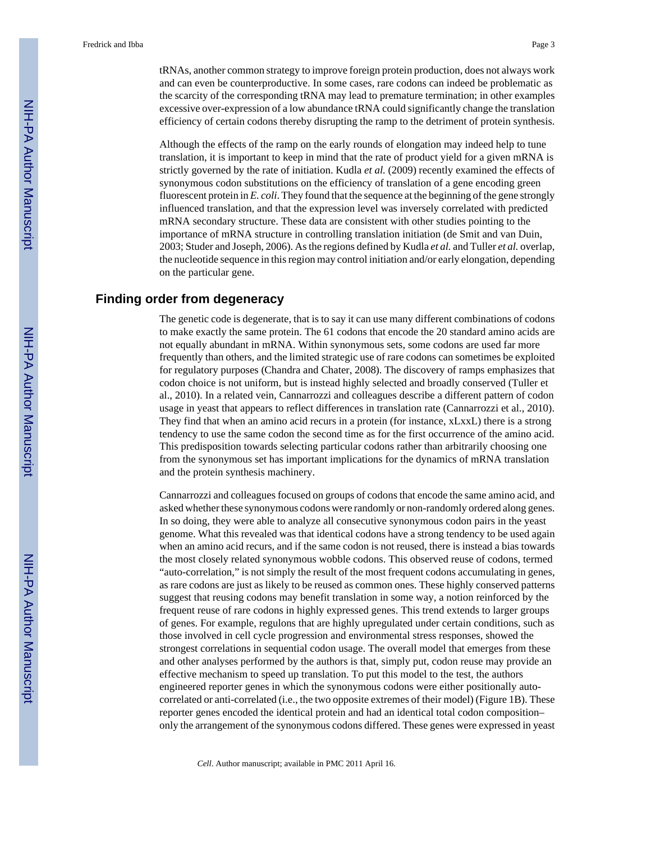tRNAs, another common strategy to improve foreign protein production, does not always work and can even be counterproductive. In some cases, rare codons can indeed be problematic as the scarcity of the corresponding tRNA may lead to premature termination; in other examples excessive over-expression of a low abundance tRNA could significantly change the translation efficiency of certain codons thereby disrupting the ramp to the detriment of protein synthesis.

Although the effects of the ramp on the early rounds of elongation may indeed help to tune translation, it is important to keep in mind that the rate of product yield for a given mRNA is strictly governed by the rate of initiation. Kudla *et al.* (2009) recently examined the effects of synonymous codon substitutions on the efficiency of translation of a gene encoding green fluorescent protein in *E. coli*. They found that the sequence at the beginning of the gene strongly influenced translation, and that the expression level was inversely correlated with predicted mRNA secondary structure. These data are consistent with other studies pointing to the importance of mRNA structure in controlling translation initiation (de Smit and van Duin, 2003; Studer and Joseph, 2006). As the regions defined by Kudla *et al.* and Tuller *et al.* overlap, the nucleotide sequence in this region may control initiation and/or early elongation, depending on the particular gene.

# **Finding order from degeneracy**

The genetic code is degenerate, that is to say it can use many different combinations of codons to make exactly the same protein. The 61 codons that encode the 20 standard amino acids are not equally abundant in mRNA. Within synonymous sets, some codons are used far more frequently than others, and the limited strategic use of rare codons can sometimes be exploited for regulatory purposes (Chandra and Chater, 2008). The discovery of ramps emphasizes that codon choice is not uniform, but is instead highly selected and broadly conserved (Tuller et al., 2010). In a related vein, Cannarrozzi and colleagues describe a different pattern of codon usage in yeast that appears to reflect differences in translation rate (Cannarrozzi et al., 2010). They find that when an amino acid recurs in a protein (for instance, xLxxL) there is a strong tendency to use the same codon the second time as for the first occurrence of the amino acid. This predisposition towards selecting particular codons rather than arbitrarily choosing one from the synonymous set has important implications for the dynamics of mRNA translation and the protein synthesis machinery.

Cannarrozzi and colleagues focused on groups of codons that encode the same amino acid, and asked whether these synonymous codons were randomly or non-randomly ordered along genes. In so doing, they were able to analyze all consecutive synonymous codon pairs in the yeast genome. What this revealed was that identical codons have a strong tendency to be used again when an amino acid recurs, and if the same codon is not reused, there is instead a bias towards the most closely related synonymous wobble codons. This observed reuse of codons, termed "auto-correlation," is not simply the result of the most frequent codons accumulating in genes, as rare codons are just as likely to be reused as common ones. These highly conserved patterns suggest that reusing codons may benefit translation in some way, a notion reinforced by the frequent reuse of rare codons in highly expressed genes. This trend extends to larger groups of genes. For example, regulons that are highly upregulated under certain conditions, such as those involved in cell cycle progression and environmental stress responses, showed the strongest correlations in sequential codon usage. The overall model that emerges from these and other analyses performed by the authors is that, simply put, codon reuse may provide an effective mechanism to speed up translation. To put this model to the test, the authors engineered reporter genes in which the synonymous codons were either positionally autocorrelated or anti-correlated (i.e., the two opposite extremes of their model) (Figure 1B). These reporter genes encoded the identical protein and had an identical total codon composition– only the arrangement of the synonymous codons differed. These genes were expressed in yeast

*Cell*. Author manuscript; available in PMC 2011 April 16.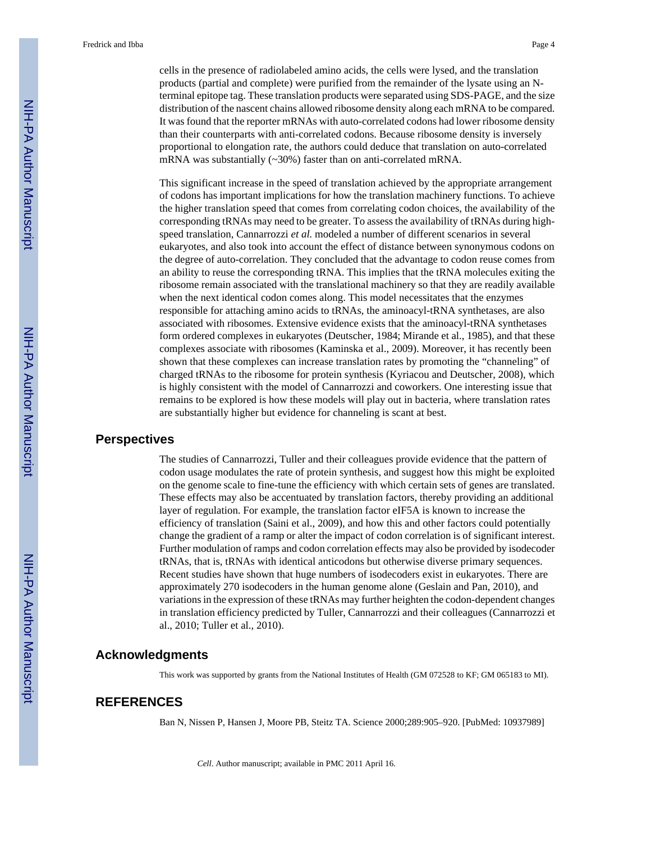cells in the presence of radiolabeled amino acids, the cells were lysed, and the translation products (partial and complete) were purified from the remainder of the lysate using an Nterminal epitope tag. These translation products were separated using SDS-PAGE, and the size distribution of the nascent chains allowed ribosome density along each mRNA to be compared. It was found that the reporter mRNAs with auto-correlated codons had lower ribosome density than their counterparts with anti-correlated codons. Because ribosome density is inversely proportional to elongation rate, the authors could deduce that translation on auto-correlated mRNA was substantially (~30%) faster than on anti-correlated mRNA.

This significant increase in the speed of translation achieved by the appropriate arrangement of codons has important implications for how the translation machinery functions. To achieve the higher translation speed that comes from correlating codon choices, the availability of the corresponding tRNAs may need to be greater. To assess the availability of tRNAs during highspeed translation, Cannarrozzi *et al.* modeled a number of different scenarios in several eukaryotes, and also took into account the effect of distance between synonymous codons on the degree of auto-correlation. They concluded that the advantage to codon reuse comes from an ability to reuse the corresponding tRNA. This implies that the tRNA molecules exiting the ribosome remain associated with the translational machinery so that they are readily available when the next identical codon comes along. This model necessitates that the enzymes responsible for attaching amino acids to tRNAs, the aminoacyl-tRNA synthetases, are also associated with ribosomes. Extensive evidence exists that the aminoacyl-tRNA synthetases form ordered complexes in eukaryotes (Deutscher, 1984; Mirande et al., 1985), and that these complexes associate with ribosomes (Kaminska et al., 2009). Moreover, it has recently been shown that these complexes can increase translation rates by promoting the "channeling" of charged tRNAs to the ribosome for protein synthesis (Kyriacou and Deutscher, 2008), which is highly consistent with the model of Cannarrozzi and coworkers. One interesting issue that remains to be explored is how these models will play out in bacteria, where translation rates are substantially higher but evidence for channeling is scant at best.

#### **Perspectives**

The studies of Cannarrozzi, Tuller and their colleagues provide evidence that the pattern of codon usage modulates the rate of protein synthesis, and suggest how this might be exploited on the genome scale to fine-tune the efficiency with which certain sets of genes are translated. These effects may also be accentuated by translation factors, thereby providing an additional layer of regulation. For example, the translation factor eIF5A is known to increase the efficiency of translation (Saini et al., 2009), and how this and other factors could potentially change the gradient of a ramp or alter the impact of codon correlation is of significant interest. Further modulation of ramps and codon correlation effects may also be provided by isodecoder tRNAs, that is, tRNAs with identical anticodons but otherwise diverse primary sequences. Recent studies have shown that huge numbers of isodecoders exist in eukaryotes. There are approximately 270 isodecoders in the human genome alone (Geslain and Pan, 2010), and variations in the expression of these tRNAs may further heighten the codon-dependent changes in translation efficiency predicted by Tuller, Cannarrozzi and their colleagues (Cannarrozzi et al., 2010; Tuller et al., 2010).

#### **Acknowledgments**

This work was supported by grants from the National Institutes of Health (GM 072528 to KF; GM 065183 to MI).

## **REFERENCES**

Ban N, Nissen P, Hansen J, Moore PB, Steitz TA. Science 2000;289:905–920. [PubMed: 10937989]

*Cell*. Author manuscript; available in PMC 2011 April 16.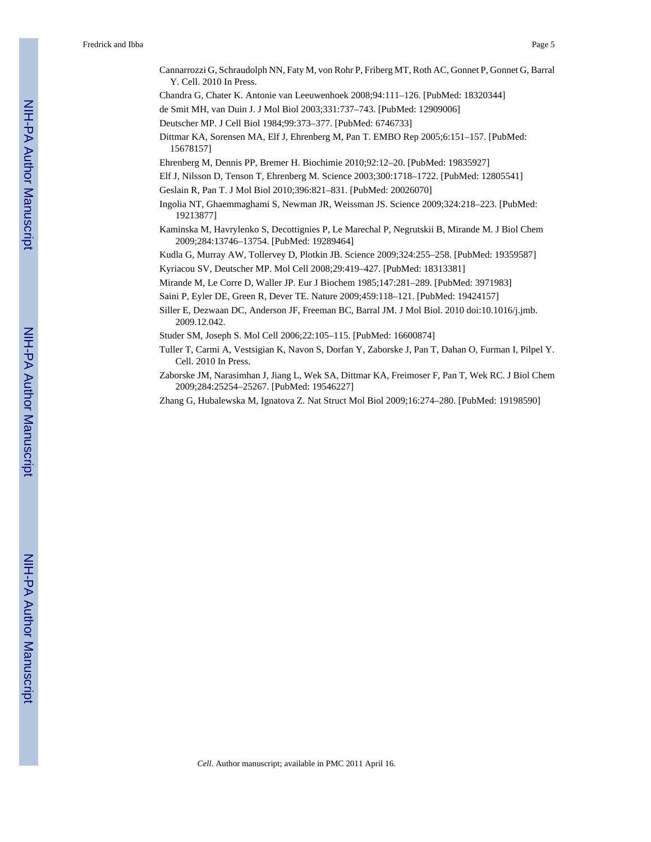Fredrick and Ibba Page 5

Cannarrozzi G, Schraudolph NN, Faty M, von Rohr P, Friberg MT, Roth AC, Gonnet P, Gonnet G, Barral Y. Cell. 2010 In Press.

de Smit MH, van Duin J. J Mol Biol 2003;331:737–743. [PubMed: 12909006]

- Dittmar KA, Sorensen MA, Elf J, Ehrenberg M, Pan T. EMBO Rep 2005;6:151–157. [PubMed: 15678157]
- Ehrenberg M, Dennis PP, Bremer H. Biochimie 2010;92:12–20. [PubMed: 19835927]

Elf J, Nilsson D, Tenson T, Ehrenberg M. Science 2003;300:1718–1722. [PubMed: 12805541] Geslain R, Pan T. J Mol Biol 2010;396:821–831. [PubMed: 20026070]

- Ingolia NT, Ghaemmaghami S, Newman JR, Weissman JS. Science 2009;324:218–223. [PubMed: 19213877]
- Kaminska M, Havrylenko S, Decottignies P, Le Marechal P, Negrutskii B, Mirande M. J Biol Chem 2009;284:13746–13754. [PubMed: 19289464]

Kudla G, Murray AW, Tollervey D, Plotkin JB. Science 2009;324:255–258. [PubMed: 19359587]

Kyriacou SV, Deutscher MP. Mol Cell 2008;29:419–427. [PubMed: 18313381]

Mirande M, Le Corre D, Waller JP. Eur J Biochem 1985;147:281–289. [PubMed: 3971983]

Saini P, Eyler DE, Green R, Dever TE. Nature 2009;459:118–121. [PubMed: 19424157]

Siller E, Dezwaan DC, Anderson JF, Freeman BC, Barral JM. J Mol Biol. 2010 doi:10.1016/j.jmb. 2009.12.042.

- Tuller T, Carmi A, Vestsigian K, Navon S, Dorfan Y, Zaborske J, Pan T, Dahan O, Furman I, Pilpel Y. Cell. 2010 In Press.
- Zaborske JM, Narasimhan J, Jiang L, Wek SA, Dittmar KA, Freimoser F, Pan T, Wek RC. J Biol Chem 2009;284:25254–25267. [PubMed: 19546227]
- Zhang G, Hubalewska M, Ignatova Z. Nat Struct Mol Biol 2009;16:274–280. [PubMed: 19198590]

Chandra G, Chater K. Antonie van Leeuwenhoek 2008;94:111–126. [PubMed: 18320344]

Deutscher MP. J Cell Biol 1984;99:373–377. [PubMed: 6746733]

Studer SM, Joseph S. Mol Cell 2006;22:105–115. [PubMed: 16600874]